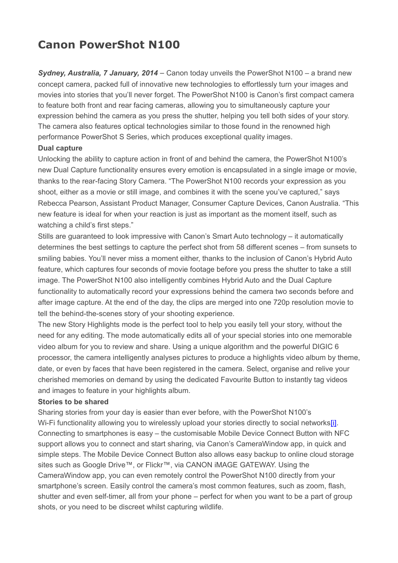# **Canon PowerShot N100**

*Sydney, Australia, 7 January, 2014* – Canon today unveils the PowerShot N100 – a brand new concept camera, packed full of innovative new technologies to effortlessly turn your images and movies into stories that you'll never forget. The PowerShot N100 is Canon's first compact camera to feature both front and rear facing cameras, allowing you to simultaneously capture your expression behind the camera as you press the shutter, helping you tell both sides of your story. The camera also features optical technologies similar to those found in the renowned high performance PowerShot S Series, which produces exceptional quality images.

#### **Dual capture**

Unlocking the ability to capture action in front of and behind the camera, the PowerShot N100's new Dual Capture functionality ensures every emotion is encapsulated in a single image or movie, thanks to the rear-facing Story Camera. "The PowerShot N100 records your expression as you shoot, either as a movie or still image, and combines it with the scene you've captured," says Rebecca Pearson, Assistant Product Manager, Consumer Capture Devices, Canon Australia. "This new feature is ideal for when your reaction is just as important as the moment itself, such as watching a child's first steps."

Stills are guaranteed to look impressive with Canon's Smart Auto technology – it automatically determines the best settings to capture the perfect shot from 58 different scenes – from sunsets to smiling babies. You'll never miss a moment either, thanks to the inclusion of Canon's Hybrid Auto feature, which captures four seconds of movie footage before you press the shutter to take a still image. The PowerShot N100 also intelligently combines Hybrid Auto and the Dual Capture functionality to automatically record your expressions behind the camera two seconds before and after image capture. At the end of the day, the clips are merged into one 720p resolution movie to tell the behind-the-scenes story of your shooting experience.

The new Story Highlights mode is the perfect tool to help you easily tell your story, without the need for any editing. The mode automatically edits all of your special stories into one memorable video album for you to review and share. Using a unique algorithm and the powerful DIGIC 6 processor, the camera intelligently analyses pictures to produce a highlights video album by theme, date, or even by faces that have been registered in the camera. Select, organise and relive your cherished memories on demand by using the dedicated Favourite Button to instantly tag videos and images to feature in your highlights album.

## **Stories to be shared**

Sharing stories from your day is easier than ever before, with the PowerShot N100's Wi-Fi functionality allowing you to wirelessly upload your stories directly to social network[s\[i\].](https://bay179.mail.live.com/mail/#_edn1) Connecting to smartphones is easy – the customisable Mobile Device Connect Button with NFC support allows you to connect and start sharing, via Canon's CameraWindow app, in quick and simple steps. The Mobile Device Connect Button also allows easy backup to online cloud storage sites such as Google Drive™, or Flickr™, via CANON iMAGE GATEWAY. Using the CameraWindow app, you can even remotely control the PowerShot N100 directly from your smartphone's screen. Easily control the camera's most common features, such as zoom, flash, shutter and even self-timer, all from your phone – perfect for when you want to be a part of group shots, or you need to be discreet whilst capturing wildlife.